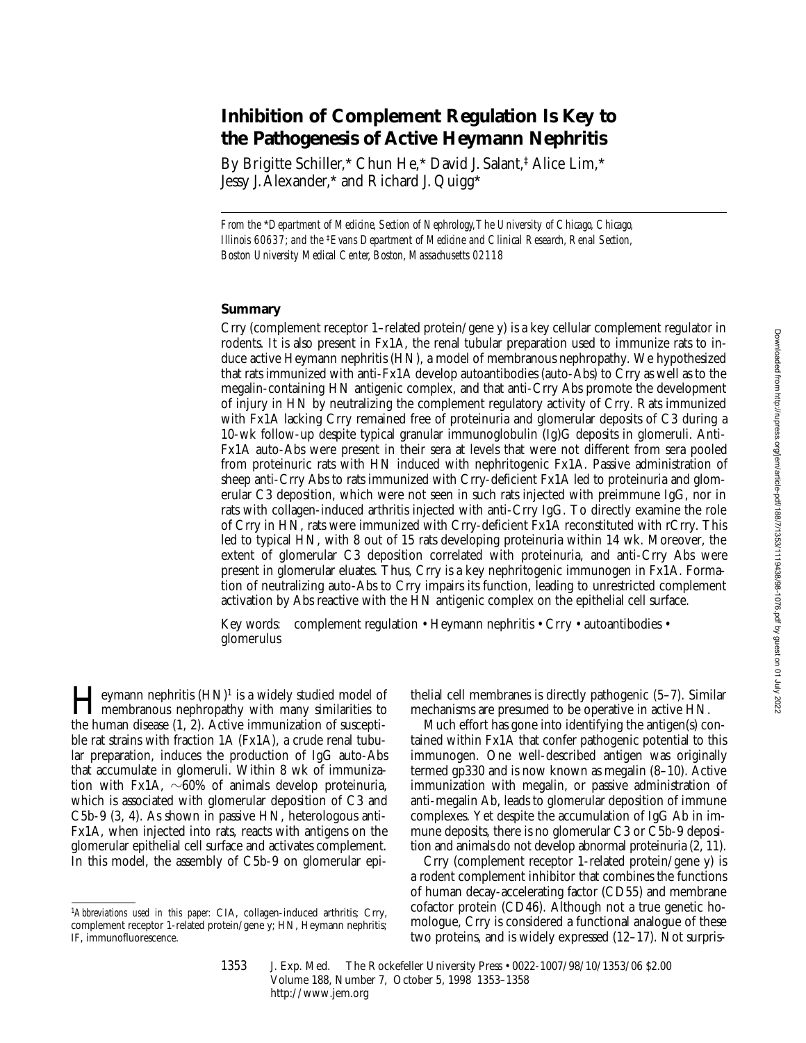# **Inhibition of Complement Regulation Is Key to the Pathogenesis of Active Heymann Nephritis**

By Brigitte Schiller,\* Chun He,\* David J. Salant,‡ Alice Lim,\* Jessy J. Alexander,\* and Richard J. Quigg\*

*From the* \**Department of Medicine, Section of Nephrology, The University of Chicago, Chicago, Illinois 60637; and the* ‡*Evans Department of Medicine and Clinical Research, Renal Section, Boston University Medical Center, Boston, Massachusetts 02118*

## **Summary**

Crry (complement receptor 1–related protein/gene y) is a key cellular complement regulator in rodents. It is also present in Fx1A, the renal tubular preparation used to immunize rats to induce active Heymann nephritis (HN), a model of membranous nephropathy. We hypothesized that rats immunized with anti-Fx1A develop autoantibodies (auto-Abs) to Crry as well as to the megalin-containing HN antigenic complex, and that anti-Crry Abs promote the development of injury in HN by neutralizing the complement regulatory activity of Crry. Rats immunized with Fx1A lacking Crry remained free of proteinuria and glomerular deposits of C3 during a 10-wk follow-up despite typical granular immunoglobulin (Ig)G deposits in glomeruli. Anti-Fx1A auto-Abs were present in their sera at levels that were not different from sera pooled from proteinuric rats with HN induced with nephritogenic Fx1A. Passive administration of sheep anti-Crry Abs to rats immunized with Crry-deficient Fx1A led to proteinuria and glomerular C3 deposition, which were not seen in such rats injected with preimmune IgG, nor in rats with collagen-induced arthritis injected with anti-Crry IgG. To directly examine the role of Crry in HN, rats were immunized with Crry-deficient Fx1A reconstituted with rCrry. This led to typical HN, with 8 out of 15 rats developing proteinuria within 14 wk. Moreover, the extent of glomerular C3 deposition correlated with proteinuria, and anti-Crry Abs were present in glomerular eluates. Thus, Crry is a key nephritogenic immunogen in Fx1A. Formation of neutralizing auto-Abs to Crry impairs its function, leading to unrestricted complement activation by Abs reactive with the HN antigenic complex on the epithelial cell surface.

Key words: complement regulation • Heymann nephritis • Crry • autoantibodies • glomerulus

**Heymann nephritis**  $(HN)^1$  is a widely studied model of membranous nephropathy with many similarities to the human discuss  $(1, 2)$ . Active immunication of measuri the human disease (1, 2). Active immunization of susceptible rat strains with fraction 1A (Fx1A), a crude renal tubular preparation, induces the production of IgG auto-Abs that accumulate in glomeruli. Within 8 wk of immunization with Fx1A,  $\sim 60\%$  of animals develop proteinuria, which is associated with glomerular deposition of C3 and C5b-9 (3, 4). As shown in passive HN, heterologous anti-Fx1A, when injected into rats, reacts with antigens on the glomerular epithelial cell surface and activates complement. In this model, the assembly of C5b-9 on glomerular epi-

thelial cell membranes is directly pathogenic (5–7). Similar mechanisms are presumed to be operative in active HN.

Much effort has gone into identifying the antigen(s) contained within Fx1A that confer pathogenic potential to this immunogen. One well-described antigen was originally termed gp330 and is now known as megalin (8–10). Active immunization with megalin, or passive administration of anti-megalin Ab, leads to glomerular deposition of immune complexes. Yet despite the accumulation of IgG Ab in immune deposits, there is no glomerular C3 or C5b-9 deposition and animals do not develop abnormal proteinuria (2, 11).

Crry (complement receptor 1-related protein/gene y) is a rodent complement inhibitor that combines the functions of human decay-accelerating factor (CD55) and membrane cofactor protein (CD46). Although not a true genetic homologue, Crry is considered a functional analogue of these two proteins, and is widely expressed (12–17). Not surpris-

<sup>1</sup>*Abbreviations used in this paper:* CIA, collagen-induced arthritis; Crry, complement receptor 1-related protein/gene y; HN, Heymann nephritis; IF, immunofluorescence.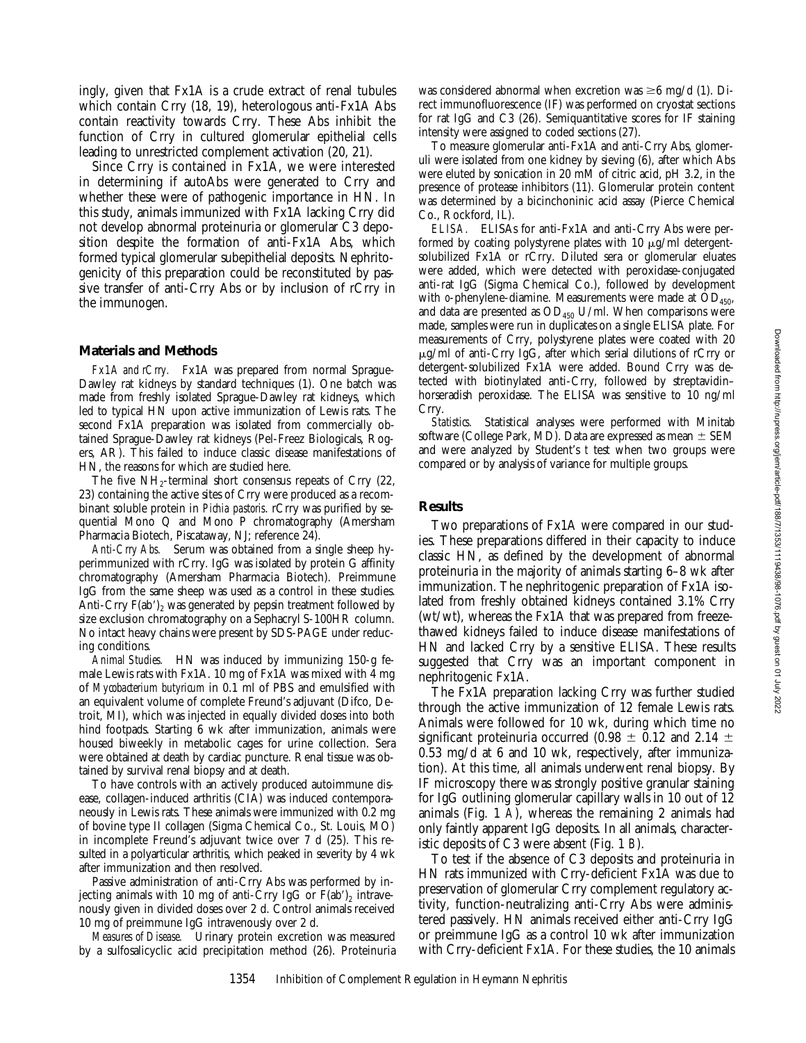ingly, given that Fx1A is a crude extract of renal tubules which contain Crry (18, 19), heterologous anti-Fx1A Abs contain reactivity towards Crry. These Abs inhibit the function of Crry in cultured glomerular epithelial cells leading to unrestricted complement activation (20, 21).

Since Crry is contained in Fx1A, we were interested in determining if autoAbs were generated to Crry and whether these were of pathogenic importance in HN. In this study, animals immunized with Fx1A lacking Crry did not develop abnormal proteinuria or glomerular C3 deposition despite the formation of anti-Fx1A Abs, which formed typical glomerular subepithelial deposits. Nephritogenicity of this preparation could be reconstituted by passive transfer of anti-Crry Abs or by inclusion of rCrry in the immunogen.

#### **Materials and Methods**

*Fx1A and rCrry.* Fx1A was prepared from normal Sprague-Dawley rat kidneys by standard techniques (1). One batch was made from freshly isolated Sprague-Dawley rat kidneys, which led to typical HN upon active immunization of Lewis rats. The second Fx1A preparation was isolated from commercially obtained Sprague-Dawley rat kidneys (Pel-Freez Biologicals, Rogers, AR). This failed to induce classic disease manifestations of HN, the reasons for which are studied here.

The five  $NH<sub>2</sub>$ -terminal short consensus repeats of Crry (22, 23) containing the active sites of Crry were produced as a recombinant soluble protein in *Pichia pastoris*. rCrry was purified by sequential Mono Q and Mono P chromatography (Amersham Pharmacia Biotech, Piscataway, NJ; reference 24).

*Anti-Crry Abs.* Serum was obtained from a single sheep hyperimmunized with rCrry. IgG was isolated by protein G affinity chromatography (Amersham Pharmacia Biotech). Preimmune IgG from the same sheep was used as a control in these studies. Anti-Crry  $F(ab')_2$  was generated by pepsin treatment followed by size exclusion chromatography on a Sephacryl S-100HR column. No intact heavy chains were present by SDS-PAGE under reducing conditions.

*Animal Studies.* HN was induced by immunizing 150-g female Lewis rats with Fx1A. 10 mg of Fx1A was mixed with 4 mg of *Mycobacterium butyricum* in 0.1 ml of PBS and emulsified with an equivalent volume of complete Freund's adjuvant (Difco, Detroit, MI), which was injected in equally divided doses into both hind footpads. Starting 6 wk after immunization, animals were housed biweekly in metabolic cages for urine collection. Sera were obtained at death by cardiac puncture. Renal tissue was obtained by survival renal biopsy and at death.

To have controls with an actively produced autoimmune disease, collagen-induced arthritis (CIA) was induced contemporaneously in Lewis rats. These animals were immunized with 0.2 mg of bovine type II collagen (Sigma Chemical Co., St. Louis, MO) in incomplete Freund's adjuvant twice over 7 d (25). This resulted in a polyarticular arthritis, which peaked in severity by 4 wk after immunization and then resolved.

Passive administration of anti-Crry Abs was performed by injecting animals with 10 mg of anti-Crry IgG or  $F(ab')_2$  intravenously given in divided doses over 2 d. Control animals received 10 mg of preimmune IgG intravenously over 2 d.

*Measures of Disease.* Urinary protein excretion was measured by a sulfosalicyclic acid precipitation method (26). Proteinuria was considered abnormal when excretion was  $\geq 6$  mg/d (1). Direct immunofluorescence (IF) was performed on cryostat sections for rat IgG and C3 (26). Semiquantitative scores for IF staining intensity were assigned to coded sections (27).

To measure glomerular anti-Fx1A and anti-Crry Abs, glomeruli were isolated from one kidney by sieving (6), after which Abs were eluted by sonication in 20 mM of citric acid, pH 3.2, in the presence of protease inhibitors (11). Glomerular protein content was determined by a bicinchoninic acid assay (Pierce Chemical Co., Rockford, IL).

*ELISA.* ELISAs for anti-Fx1A and anti-Crry Abs were performed by coating polystyrene plates with 10  $\mu$ g/ml detergentsolubilized Fx1A or rCrry. Diluted sera or glomerular eluates were added, which were detected with peroxidase-conjugated anti-rat IgG (Sigma Chemical Co.), followed by development with  $o$ -phenylene-diamine. Measurements were made at  $OD_{450}$ , and data are presented as  $OD_{450}$  U/ml. When comparisons were made, samples were run in duplicates on a single ELISA plate. For measurements of Crry, polystyrene plates were coated with 20  $\mu$ g/ml of anti-Crry IgG, after which serial dilutions of rCrry or detergent-solubilized Fx1A were added. Bound Crry was detected with biotinylated anti-Crry, followed by streptavidin– horseradish peroxidase. The ELISA was sensitive to 10 ng/ml Crry.

*Statistics.* Statistical analyses were performed with Minitab software (College Park, MD). Data are expressed as mean  $\pm$  SEM and were analyzed by Student's *t* test when two groups were compared or by analysis of variance for multiple groups.

#### **Results**

Two preparations of Fx1A were compared in our studies. These preparations differed in their capacity to induce classic HN, as defined by the development of abnormal proteinuria in the majority of animals starting 6–8 wk after immunization. The nephritogenic preparation of Fx1A isolated from freshly obtained kidneys contained 3.1% Crry (wt/wt), whereas the Fx1A that was prepared from freezethawed kidneys failed to induce disease manifestations of HN and lacked Crry by a sensitive ELISA. These results suggested that Crry was an important component in nephritogenic Fx1A.

The Fx1A preparation lacking Crry was further studied through the active immunization of 12 female Lewis rats. Animals were followed for 10 wk, during which time no significant proteinuria occurred (0.98  $\pm$  0.12 and 2.14  $\pm$ 0.53 mg/d at 6 and 10 wk, respectively, after immunization). At this time, all animals underwent renal biopsy. By IF microscopy there was strongly positive granular staining for IgG outlining glomerular capillary walls in 10 out of 12 animals (Fig. 1 *A*), whereas the remaining 2 animals had only faintly apparent IgG deposits. In all animals, characteristic deposits of C3 were absent (Fig. 1 *B*).

To test if the absence of C3 deposits and proteinuria in HN rats immunized with Crry-deficient Fx1A was due to preservation of glomerular Crry complement regulatory activity, function-neutralizing anti-Crry Abs were administered passively. HN animals received either anti-Crry IgG or preimmune IgG as a control 10 wk after immunization with Crry-deficient Fx1A. For these studies, the 10 animals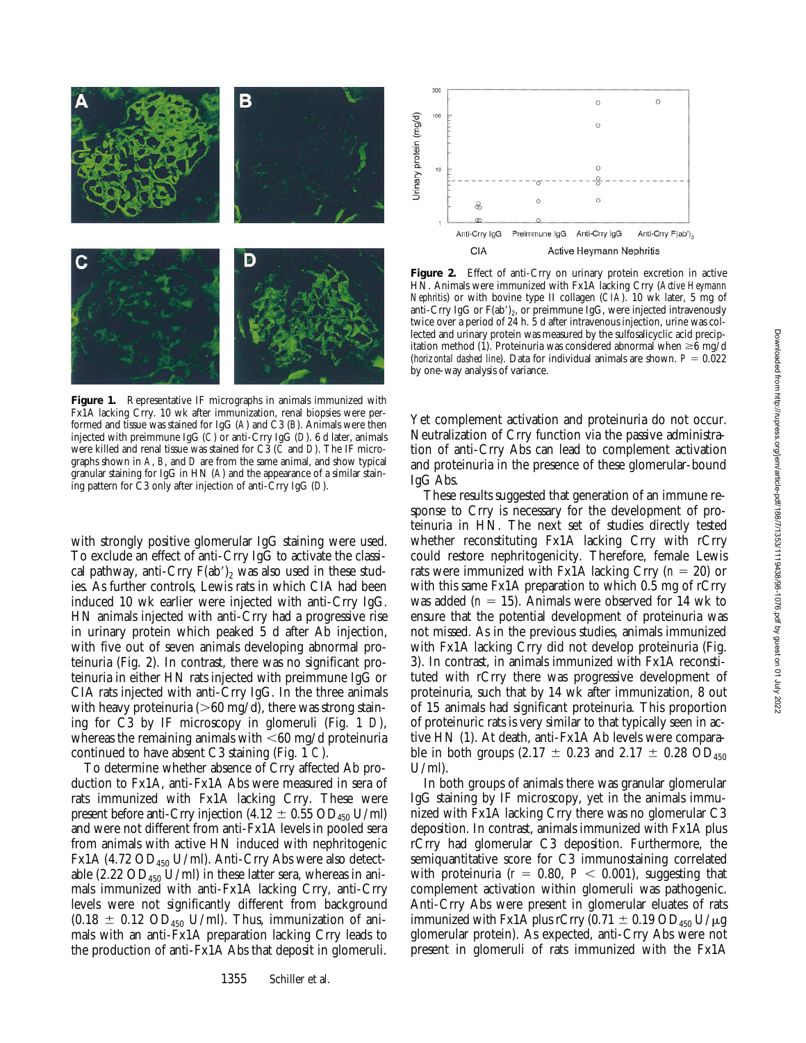

**Figure 1.** Representative IF micrographs in animals immunized with Fx1A lacking Crry. 10 wk after immunization, renal biopsies were performed and tissue was stained for IgG (*A*) and C3 (*B*). Animals were then injected with preimmune IgG (*C*) or anti-Crry IgG (*D*). 6 d later, animals were killed and renal tissue was stained for C3 (*C* and *D*). The IF micrographs shown in *A*, *B*, and *D* are from the same animal, and show typical granular staining for IgG in HN (*A*) and the appearance of a similar staining pattern for C3 only after injection of anti-Crry IgG (*D*).

with strongly positive glomerular IgG staining were used. To exclude an effect of anti-Crry IgG to activate the classical pathway, anti-Crry  $F(ab')_2$  was also used in these studies. As further controls, Lewis rats in which CIA had been induced 10 wk earlier were injected with anti-Crry IgG. HN animals injected with anti-Crry had a progressive rise in urinary protein which peaked 5 d after Ab injection, with five out of seven animals developing abnormal proteinuria (Fig. 2). In contrast, there was no significant proteinuria in either HN rats injected with preimmune IgG or CIA rats injected with anti-Crry IgG. In the three animals with heavy proteinuria ( $>60$  mg/d), there was strong staining for C3 by IF microscopy in glomeruli (Fig. 1 *D*), whereas the remaining animals with  $<\!60$  mg/d proteinuria continued to have absent C3 staining (Fig. 1 *C*).

To determine whether absence of Crry affected Ab production to Fx1A, anti-Fx1A Abs were measured in sera of rats immunized with Fx1A lacking Crry. These were present before anti-Crry injection (4.12  $\pm$  0.55 OD<sub>450</sub> U/ml) and were not different from anti-Fx1A levels in pooled sera from animals with active HN induced with nephritogenic Fx1A (4.72  $OD_{450}$  U/ml). Anti-Crry Abs were also detectable (2.22  $OD_{450}$  U/ml) in these latter sera, whereas in animals immunized with anti-Fx1A lacking Crry, anti-Crry levels were not significantly different from background  $(0.18 \pm 0.12 \text{ OD}_{450} \text{ U/ml})$ . Thus, immunization of animals with an anti-Fx1A preparation lacking Crry leads to the production of anti-Fx1A Abs that deposit in glomeruli.



Figure 2. Effect of anti-Crry on urinary protein excretion in active HN. Animals were immunized with Fx1A lacking Crry (*Active Heymann Nephritis*) or with bovine type II collagen (*CIA*). 10 wk later, 5 mg of anti-Crry IgG or  $F(ab')_2$ , or preimmune IgG, were injected intravenously twice over a period of 24 h. 5 d after intravenous injection, urine was collected and urinary protein was measured by the sulfosalicyclic acid precipitation method (1). Proteinuria was considered abnormal when  $\geq 6$  mg/d (*horizontal dashed line*). Data for individual animals are shown.  $P = 0.022$ by one-way analysis of variance.

Yet complement activation and proteinuria do not occur. Neutralization of Crry function via the passive administration of anti-Crry Abs can lead to complement activation and proteinuria in the presence of these glomerular-bound IgG Abs.

These results suggested that generation of an immune response to Crry is necessary for the development of proteinuria in HN. The next set of studies directly tested whether reconstituting Fx1A lacking Crry with rCrry could restore nephritogenicity. Therefore, female Lewis rats were immunized with Fx1A lacking Crry  $(n = 20)$  or with this same Fx1A preparation to which 0.5 mg of rCrry was added  $(n = 15)$ . Animals were observed for 14 wk to ensure that the potential development of proteinuria was not missed. As in the previous studies, animals immunized with Fx1A lacking Crry did not develop proteinuria (Fig. 3). In contrast, in animals immunized with Fx1A reconstituted with rCrry there was progressive development of proteinuria, such that by 14 wk after immunization, 8 out of 15 animals had significant proteinuria. This proportion of proteinuric rats is very similar to that typically seen in active HN (1). At death, anti-Fx1A Ab levels were comparable in both groups (2.17  $\pm$  0.23 and 2.17  $\pm$  0.28 OD<sub>450</sub> U/ml).

In both groups of animals there was granular glomerular IgG staining by IF microscopy, yet in the animals immunized with Fx1A lacking Crry there was no glomerular C3 deposition. In contrast, animals immunized with Fx1A plus rCrry had glomerular C3 deposition. Furthermore, the semiquantitative score for C3 immunostaining correlated with proteinuria  $(r = 0.80, P < 0.001)$ , suggesting that complement activation within glomeruli was pathogenic. Anti-Crry Abs were present in glomerular eluates of rats immunized with Fx1A plus rCrry  $(0.71 \pm 0.19 \text{ OD}_{450} \text{ U}/\mu\text{g})$ glomerular protein). As expected, anti-Crry Abs were not present in glomeruli of rats immunized with the Fx1A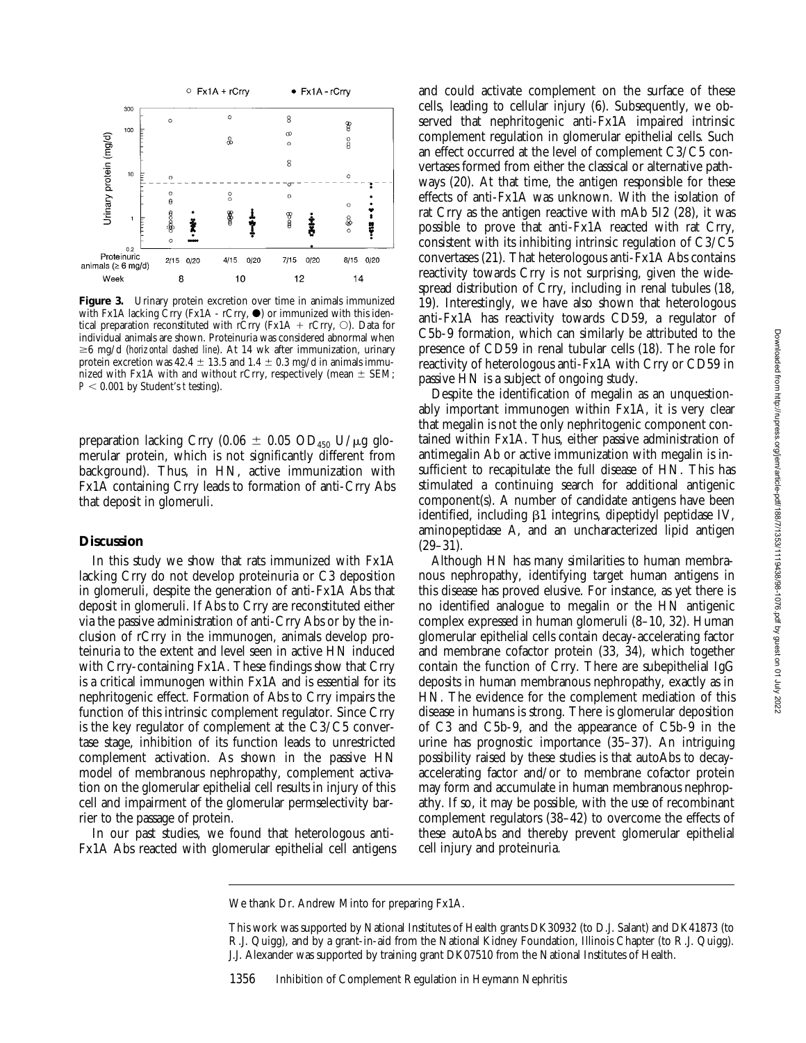

Figure 3. Urinary protein excretion over time in animals immunized with Fx1A lacking Crry (Fx1A - rCrry,  $\bullet$ ) or immunized with this identical preparation reconstituted with rCrry (Fx1A + rCrry,  $\circ$ ). Data for individual animals are shown. Proteinuria was considered abnormal when  $\geq 6$  mg/d (*horizontal dashed line*). At 14 wk after immunization, urinary protein excretion was 42.4  $\pm$  13.5 and 1.4  $\pm$  0.3 mg/d in animals immunized with Fx1A with and without rCrry, respectively (mean  $\pm$  SEM;  $P < 0.001$  by Student's *t* testing).

preparation lacking Crry (0.06  $\pm$  0.05 OD<sub>450</sub> U/ $\mu$ g glomerular protein, which is not significantly different from background). Thus, in HN, active immunization with Fx1A containing Crry leads to formation of anti-Crry Abs that deposit in glomeruli.

# **Discussion**

In this study we show that rats immunized with Fx1A lacking Crry do not develop proteinuria or C3 deposition in glomeruli, despite the generation of anti-Fx1A Abs that deposit in glomeruli. If Abs to Crry are reconstituted either via the passive administration of anti-Crry Abs or by the inclusion of rCrry in the immunogen, animals develop proteinuria to the extent and level seen in active HN induced with Crry-containing Fx1A. These findings show that Crry is a critical immunogen within Fx1A and is essential for its nephritogenic effect. Formation of Abs to Crry impairs the function of this intrinsic complement regulator. Since Crry is the key regulator of complement at the C3/C5 convertase stage, inhibition of its function leads to unrestricted complement activation. As shown in the passive HN model of membranous nephropathy, complement activation on the glomerular epithelial cell results in injury of this cell and impairment of the glomerular permselectivity barrier to the passage of protein.

In our past studies, we found that heterologous anti-Fx1A Abs reacted with glomerular epithelial cell antigens and could activate complement on the surface of these cells, leading to cellular injury (6). Subsequently, we observed that nephritogenic anti-Fx1A impaired intrinsic complement regulation in glomerular epithelial cells. Such an effect occurred at the level of complement C3/C5 convertases formed from either the classical or alternative pathways (20). At that time, the antigen responsible for these effects of anti-Fx1A was unknown. With the isolation of rat Crry as the antigen reactive with mAb 5I2 (28), it was possible to prove that anti-Fx1A reacted with rat Crry, consistent with its inhibiting intrinsic regulation of C3/C5 convertases (21). That heterologous anti-Fx1A Abs contains reactivity towards Crry is not surprising, given the widespread distribution of Crry, including in renal tubules (18, 19). Interestingly, we have also shown that heterologous anti-Fx1A has reactivity towards CD59, a regulator of C5b-9 formation, which can similarly be attributed to the presence of CD59 in renal tubular cells (18). The role for reactivity of heterologous anti-Fx1A with Crry or CD59 in passive HN is a subject of ongoing study.

Despite the identification of megalin as an unquestionably important immunogen within Fx1A, it is very clear that megalin is not the only nephritogenic component contained within Fx1A. Thus, either passive administration of antimegalin Ab or active immunization with megalin is insufficient to recapitulate the full disease of HN. This has stimulated a continuing search for additional antigenic component(s). A number of candidate antigens have been identified, including  $\beta$ 1 integrins, dipeptidyl peptidase IV, aminopeptidase A, and an uncharacterized lipid antigen (29–31).

Although HN has many similarities to human membranous nephropathy, identifying target human antigens in this disease has proved elusive. For instance, as yet there is no identified analogue to megalin or the HN antigenic complex expressed in human glomeruli (8–10, 32). Human glomerular epithelial cells contain decay-accelerating factor and membrane cofactor protein (33, 34), which together contain the function of Crry. There are subepithelial IgG deposits in human membranous nephropathy, exactly as in HN. The evidence for the complement mediation of this disease in humans is strong. There is glomerular deposition of C3 and C5b-9, and the appearance of C5b-9 in the urine has prognostic importance (35–37). An intriguing possibility raised by these studies is that autoAbs to decayaccelerating factor and/or to membrane cofactor protein may form and accumulate in human membranous nephropathy. If so, it may be possible, with the use of recombinant complement regulators (38–42) to overcome the effects of these autoAbs and thereby prevent glomerular epithelial cell injury and proteinuria.

We thank Dr. Andrew Minto for preparing Fx1A.

This work was supported by National Institutes of Health grants DK30932 (to D.J. Salant) and DK41873 (to R.J. Quigg), and by a grant-in-aid from the National Kidney Foundation, Illinois Chapter (to R.J. Quigg). J.J. Alexander was supported by training grant DK07510 from the National Institutes of Health.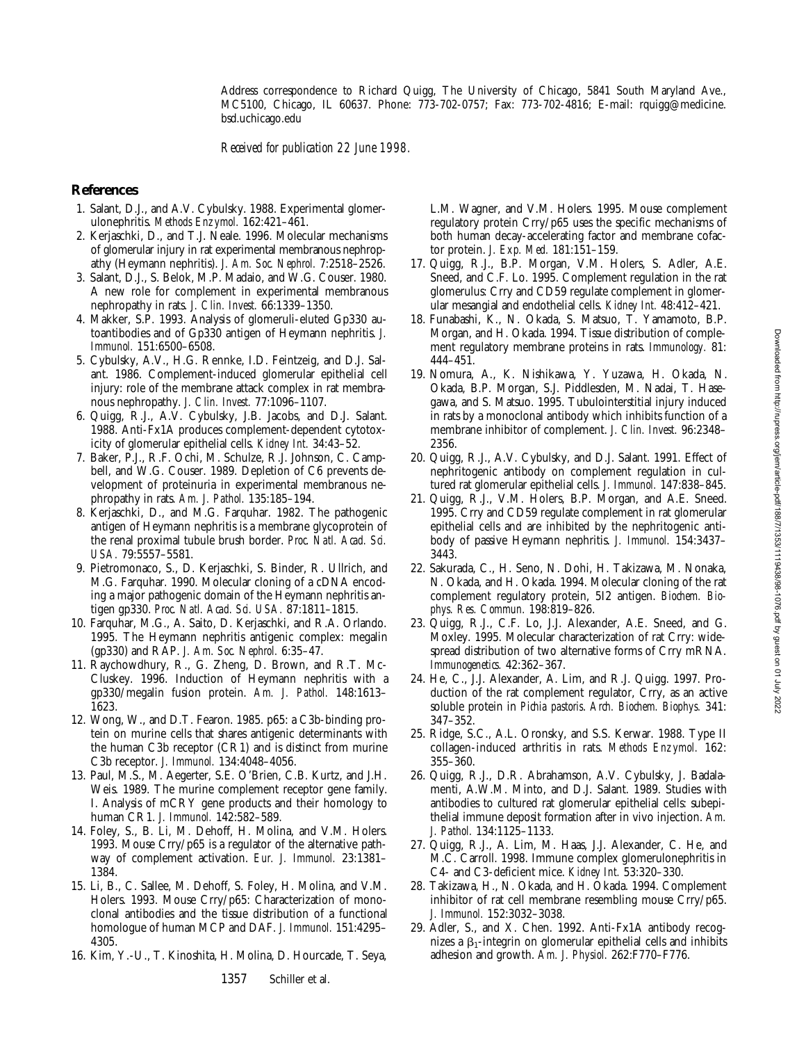#### Address correspondence to Richard Quigg, The University of Chicago, 5841 South Maryland Ave., MC5100, Chicago, IL 60637. Phone: 773-702-0757; Fax: 773-702-4816; E-mail: rquigg@medicine. bsd.uchicago.edu

*Received for publication 22 June 1998.*

### **References**

- 1. Salant, D.J., and A.V. Cybulsky. 1988. Experimental glomerulonephritis. *Methods Enzymol.* 162:421–461.
- 2. Kerjaschki, D., and T.J. Neale. 1996. Molecular mechanisms of glomerular injury in rat experimental membranous nephropathy (Heymann nephritis). *J. Am. Soc. Nephrol.* 7:2518–2526.
- 3. Salant, D.J., S. Belok, M.P. Madaio, and W.G. Couser. 1980. A new role for complement in experimental membranous nephropathy in rats. *J. Clin. Invest.* 66:1339–1350.
- 4. Makker, S.P. 1993. Analysis of glomeruli-eluted Gp330 autoantibodies and of Gp330 antigen of Heymann nephritis. *J. Immunol.* 151:6500–6508.
- 5. Cybulsky, A.V., H.G. Rennke, I.D. Feintzeig, and D.J. Salant. 1986. Complement-induced glomerular epithelial cell injury: role of the membrane attack complex in rat membranous nephropathy. *J. Clin. Invest.* 77:1096–1107.
- 6. Quigg, R.J., A.V. Cybulsky, J.B. Jacobs, and D.J. Salant. 1988. Anti-Fx1A produces complement-dependent cytotoxicity of glomerular epithelial cells. *Kidney Int.* 34:43–52.
- 7. Baker, P.J., R.F. Ochi, M. Schulze, R.J. Johnson, C. Campbell, and W.G. Couser. 1989. Depletion of C6 prevents development of proteinuria in experimental membranous nephropathy in rats. *Am. J. Pathol.* 135:185–194.
- 8. Kerjaschki, D., and M.G. Farquhar. 1982. The pathogenic antigen of Heymann nephritis is a membrane glycoprotein of the renal proximal tubule brush border. *Proc. Natl. Acad. Sci. USA.* 79:5557–5581.
- 9. Pietromonaco, S., D. Kerjaschki, S. Binder, R. Ullrich, and M.G. Farquhar. 1990. Molecular cloning of a cDNA encoding a major pathogenic domain of the Heymann nephritis antigen gp330. *Proc. Natl. Acad. Sci. USA.* 87:1811–1815.
- 10. Farquhar, M.G., A. Saito, D. Kerjaschki, and R.A. Orlando. 1995. The Heymann nephritis antigenic complex: megalin (gp330) and RAP. *J. Am. Soc. Nephrol.* 6:35–47.
- 11. Raychowdhury, R., G. Zheng, D. Brown, and R.T. Mc-Cluskey. 1996. Induction of Heymann nephritis with a gp330/megalin fusion protein. *Am. J. Pathol.* 148:1613– 1623.
- 12. Wong, W., and D.T. Fearon. 1985. p65: a C3b-binding protein on murine cells that shares antigenic determinants with the human C3b receptor (CR1) and is distinct from murine C3b receptor. *J. Immunol.* 134:4048–4056.
- 13. Paul, M.S., M. Aegerter, S.E. O'Brien, C.B. Kurtz, and J.H. Weis. 1989. The murine complement receptor gene family. I. Analysis of mCRY gene products and their homology to human CR1. *J. Immunol.* 142:582–589.
- 14. Foley, S., B. Li, M. Dehoff, H. Molina, and V.M. Holers. 1993. Mouse Crry/p65 is a regulator of the alternative pathway of complement activation. *Eur. J. Immunol.* 23:1381– 1384.
- 15. Li, B., C. Sallee, M. Dehoff, S. Foley, H. Molina, and V.M. Holers. 1993. Mouse Crry/p65: Characterization of monoclonal antibodies and the tissue distribution of a functional homologue of human MCP and DAF. *J. Immunol.* 151:4295– 4305.
- 16. Kim, Y.-U., T. Kinoshita, H. Molina, D. Hourcade, T. Seya,

L.M. Wagner, and V.M. Holers. 1995. Mouse complement regulatory protein Crry/p65 uses the specific mechanisms of both human decay-accelerating factor and membrane cofactor protein. *J. Exp. Med.* 181:151–159.

- 17. Quigg, R.J., B.P. Morgan, V.M. Holers, S. Adler, A.E. Sneed, and C.F. Lo. 1995. Complement regulation in the rat glomerulus: Crry and CD59 regulate complement in glomerular mesangial and endothelial cells. *Kidney Int.* 48:412–421.
- 18. Funabashi, K., N. Okada, S. Matsuo, T. Yamamoto, B.P. Morgan, and H. Okada. 1994. Tissue distribution of complement regulatory membrane proteins in rats. *Immunology.* 81: 444–451.
- 19. Nomura, A., K. Nishikawa, Y. Yuzawa, H. Okada, N. Okada, B.P. Morgan, S.J. Piddlesden, M. Nadai, T. Hasegawa, and S. Matsuo. 1995. Tubulointerstitial injury induced in rats by a monoclonal antibody which inhibits function of a membrane inhibitor of complement. *J. Clin. Invest.* 96:2348– 2356.
- 20. Quigg, R.J., A.V. Cybulsky, and D.J. Salant. 1991. Effect of nephritogenic antibody on complement regulation in cultured rat glomerular epithelial cells. *J. Immunol.* 147:838–845.
- 21. Quigg, R.J., V.M. Holers, B.P. Morgan, and A.E. Sneed. 1995. Crry and CD59 regulate complement in rat glomerular epithelial cells and are inhibited by the nephritogenic antibody of passive Heymann nephritis. *J. Immunol.* 154:3437– 3443.
- 22. Sakurada, C., H. Seno, N. Dohi, H. Takizawa, M. Nonaka, N. Okada, and H. Okada. 1994. Molecular cloning of the rat complement regulatory protein, 5I2 antigen. *Biochem. Biophys. Res. Commun.* 198:819–826.
- 23. Quigg, R.J., C.F. Lo, J.J. Alexander, A.E. Sneed, and G. Moxley. 1995. Molecular characterization of rat Crry: widespread distribution of two alternative forms of Crry mRNA. *Immunogenetics.* 42:362–367.
- 24. He, C., J.J. Alexander, A. Lim, and R.J. Quigg. 1997. Production of the rat complement regulator, Crry, as an active soluble protein in *Pichia pastoris*. *Arch. Biochem. Biophys.* 341: 347–352.
- 25. Ridge, S.C., A.L. Oronsky, and S.S. Kerwar. 1988. Type II collagen-induced arthritis in rats. *Methods Enzymol.* 162: 355–360.
- 26. Quigg, R.J., D.R. Abrahamson, A.V. Cybulsky, J. Badalamenti, A.W.M. Minto, and D.J. Salant. 1989. Studies with antibodies to cultured rat glomerular epithelial cells: subepithelial immune deposit formation after in vivo injection. *Am. J. Pathol.* 134:1125–1133.
- 27. Quigg, R.J., A. Lim, M. Haas, J.J. Alexander, C. He, and M.C. Carroll. 1998. Immune complex glomerulonephritis in C4- and C3-deficient mice. *Kidney Int.* 53:320–330.
- 28. Takizawa, H., N. Okada, and H. Okada. 1994. Complement inhibitor of rat cell membrane resembling mouse Crry/p65. *J. Immunol.* 152:3032–3038.
- 29. Adler, S., and X. Chen. 1992. Anti-Fx1A antibody recognizes a  $\beta_1$ -integrin on glomerular epithelial cells and inhibits adhesion and growth. *Am. J. Physiol.* 262:F770–F776.